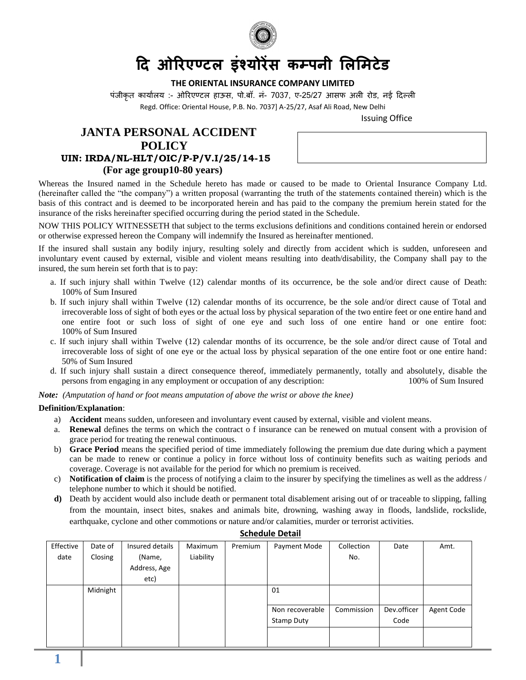

# **दि ओरिएण् टल ंश् ोि क ् नी िल िटटड**

## **THE ORIENTAL INSURANCE COMPANY LIMITED**

पंजीकृत कार्यालय :- ओरिएण्टल हाऊस, पो.बॉ. नं- 7037, ए-25/27 आसफ अली रोड, नई दिल्ली Regd. Office: Oriental House, P.B. No. 7037] A-25/27, Asaf Ali Road, New Delhi

Issuing Office

# **JANTA PERSONAL ACCIDENT POLICY UIN: IRDA/NL-HLT/OIC/P-P/V.I/25/14-15 (For age group10-80 years)**

Whereas the Insured named in the Schedule hereto has made or caused to be made to Oriental Insurance Company Ltd. (hereinafter called the "the company") a written proposal (warranting the truth of the statements contained therein) which is the basis of this contract and is deemed to be incorporated herein and has paid to the company the premium herein stated for the insurance of the risks hereinafter specified occurring during the period stated in the Schedule.

NOW THIS POLICY WITNESSETH that subject to the terms exclusions definitions and conditions contained herein or endorsed or otherwise expressed hereon the Company will indemnify the Insured as hereinafter mentioned.

If the insured shall sustain any bodily injury, resulting solely and directly from accident which is sudden, unforeseen and involuntary event caused by external, visible and violent means resulting into death/disability, the Company shall pay to the insured, the sum herein set forth that is to pay:

- a. If such injury shall within Twelve (12) calendar months of its occurrence, be the sole and/or direct cause of Death: 100% of Sum Insured
- b. If such injury shall within Twelve (12) calendar months of its occurrence, be the sole and/or direct cause of Total and irrecoverable loss of sight of both eyes or the actual loss by physical separation of the two entire feet or one entire hand and one entire foot or such loss of sight of one eye and such loss of one entire hand or one entire foot: 100% of Sum Insured
- c. If such injury shall within Twelve (12) calendar months of its occurrence, be the sole and/or direct cause of Total and irrecoverable loss of sight of one eye or the actual loss by physical separation of the one entire foot or one entire hand: 50% of Sum Insured
- d. If such injury shall sustain a direct consequence thereof, immediately permanently, totally and absolutely, disable the persons from engaging in any employment or occupation of any description: 100% of Sum Insured

*Note: (Amputation of hand or foot means amputation of above the wrist or above the knee)*

#### **Definition/Explanation**:

- a) **Accident** means sudden, unforeseen and involuntary event caused by external, visible and violent means.
- a. **Renewal** defines the terms on which the contract o f insurance can be renewed on mutual consent with a provision of grace period for treating the renewal continuous.
- b) **Grace Period** means the specified period of time immediately following the premium due date during which a payment can be made to renew or continue a policy in force without loss of continuity benefits such as waiting periods and coverage. Coverage is not available for the period for which no premium is received.
- c) **Notification of claim** is the process of notifying a claim to the insurer by specifying the timelines as well as the address / telephone number to which it should be notified.
- **d)** Death by accident would also include death or permanent total disablement arising out of or traceable to slipping, falling from the mountain, insect bites, snakes and animals bite, drowning, washing away in floods, landslide, rockslide, earthquake, cyclone and other commotions or nature and/or calamities, murder or terrorist activities.

| Effective | Date of  | Insured details | Maximum   | Premium | Payment Mode      | Collection | Date        | Amt.       |
|-----------|----------|-----------------|-----------|---------|-------------------|------------|-------------|------------|
| date      | Closing  | (Name,          | Liability |         |                   | No.        |             |            |
|           |          | Address, Age    |           |         |                   |            |             |            |
|           |          | etc)            |           |         |                   |            |             |            |
|           | Midnight |                 |           |         | 01                |            |             |            |
|           |          |                 |           |         |                   |            |             |            |
|           |          |                 |           |         | Non recoverable   | Commission | Dev.officer | Agent Code |
|           |          |                 |           |         | <b>Stamp Duty</b> |            | Code        |            |
|           |          |                 |           |         |                   |            |             |            |
|           |          |                 |           |         |                   |            |             |            |

#### **Schedule Detail**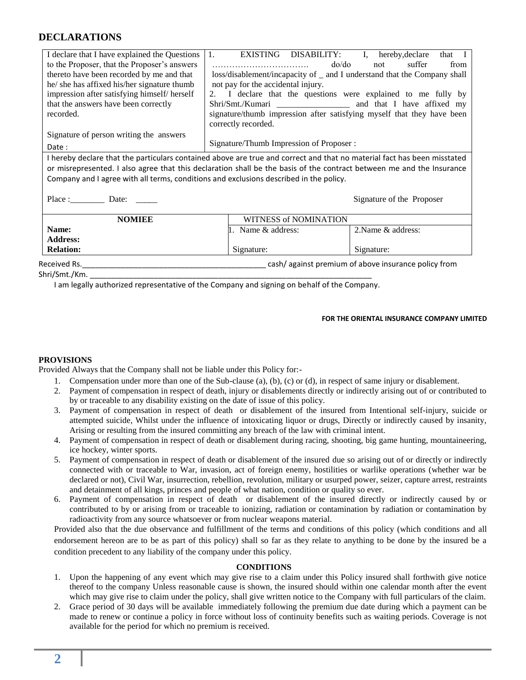# **DECLARATIONS**

| I declare that I have explained the Questions                                                                         | $1_{\cdot}$                                                                                                                                                                     | EXISTING DISABILITY: I, hereby, declare<br>that I |  |  |  |  |  |  |  |
|-----------------------------------------------------------------------------------------------------------------------|---------------------------------------------------------------------------------------------------------------------------------------------------------------------------------|---------------------------------------------------|--|--|--|--|--|--|--|
| to the Proposer, that the Proposer's answers                                                                          |                                                                                                                                                                                 | $d\rho/d\rho$<br>suffer<br>not<br>from            |  |  |  |  |  |  |  |
| thereto have been recorded by me and that                                                                             | loss/disablement/incapacity of _ and I understand that the Company shall<br>not pay for the accidental injury.<br>2. I declare that the questions were explained to me fully by |                                                   |  |  |  |  |  |  |  |
| he/ she has affixed his/her signature thumb                                                                           |                                                                                                                                                                                 |                                                   |  |  |  |  |  |  |  |
| impression after satisfying himself/herself                                                                           |                                                                                                                                                                                 |                                                   |  |  |  |  |  |  |  |
| that the answers have been correctly                                                                                  |                                                                                                                                                                                 |                                                   |  |  |  |  |  |  |  |
| recorded.                                                                                                             | signature/thumb impression after satisfying myself that they have been                                                                                                          |                                                   |  |  |  |  |  |  |  |
|                                                                                                                       | correctly recorded.                                                                                                                                                             |                                                   |  |  |  |  |  |  |  |
| Signature of person writing the answers                                                                               | Signature/Thumb Impression of Proposer :                                                                                                                                        |                                                   |  |  |  |  |  |  |  |
| Date:                                                                                                                 |                                                                                                                                                                                 |                                                   |  |  |  |  |  |  |  |
|                                                                                                                       | I hereby declare that the particulars contained above are true and correct and that no material fact has been misstated                                                         |                                                   |  |  |  |  |  |  |  |
| or misrepresented. I also agree that this declaration shall be the basis of the contract between me and the Insurance |                                                                                                                                                                                 |                                                   |  |  |  |  |  |  |  |
| Company and I agree with all terms, conditions and exclusions described in the policy.                                |                                                                                                                                                                                 |                                                   |  |  |  |  |  |  |  |
|                                                                                                                       |                                                                                                                                                                                 | Signature of the Proposer                         |  |  |  |  |  |  |  |
| <b>NOMIEE</b>                                                                                                         | <b>WITNESS of NOMINATION</b>                                                                                                                                                    |                                                   |  |  |  |  |  |  |  |
| Name:                                                                                                                 | 1. Name & address:                                                                                                                                                              | 2. Name & address:                                |  |  |  |  |  |  |  |
| <b>Address:</b>                                                                                                       |                                                                                                                                                                                 |                                                   |  |  |  |  |  |  |  |
| <b>Relation:</b>                                                                                                      | Signature:                                                                                                                                                                      | Signature:                                        |  |  |  |  |  |  |  |
|                                                                                                                       |                                                                                                                                                                                 |                                                   |  |  |  |  |  |  |  |
| Shri/Smt./Km.                                                                                                         |                                                                                                                                                                                 |                                                   |  |  |  |  |  |  |  |
| I am legally authorized representative of the Company and signing on behalf of the Company.                           |                                                                                                                                                                                 |                                                   |  |  |  |  |  |  |  |

## **FOR THE ORIENTAL INSURANCE COMPANY LIMITED**

## **PROVISIONS**

Provided Always that the Company shall not be liable under this Policy for:-

- 1. Compensation under more than one of the Sub-clause (a), (b), (c) or (d), in respect of same injury or disablement.
- 2. Payment of compensation in respect of death, injury or disablements directly or indirectly arising out of or contributed to by or traceable to any disability existing on the date of issue of this policy.
- 3. Payment of compensation in respect of death or disablement of the insured from Intentional self-injury, suicide or attempted suicide, Whilst under the influence of intoxicating liquor or drugs, Directly or indirectly caused by insanity, Arising or resulting from the insured committing any breach of the law with criminal intent.
- 4. Payment of compensation in respect of death or disablement during racing, shooting, big game hunting, mountaineering, ice hockey, winter sports.
- 5. Payment of compensation in respect of death or disablement of the insured due so arising out of or directly or indirectly connected with or traceable to War, invasion, act of foreign enemy, hostilities or warlike operations (whether war be declared or not), Civil War, insurrection, rebellion, revolution, military or usurped power, seizer, capture arrest, restraints and detainment of all kings, princes and people of what nation, condition or quality so ever.
- 6. Payment of compensation in respect of death or disablement of the insured directly or indirectly caused by or contributed to by or arising from or traceable to ionizing, radiation or contamination by radiation or contamination by radioactivity from any source whatsoever or from nuclear weapons material.

Provided also that the due observance and fulfillment of the terms and conditions of this policy (which conditions and all endorsement hereon are to be as part of this policy) shall so far as they relate to anything to be done by the insured be a condition precedent to any liability of the company under this policy.

#### **CONDITIONS**

- 1. Upon the happening of any event which may give rise to a claim under this Policy insured shall forthwith give notice thereof to the company Unless reasonable cause is shown, the insured should within one calendar month after the event which may give rise to claim under the policy, shall give written notice to the Company with full particulars of the claim.
- 2. Grace period of 30 days will be available immediately following the premium due date during which a payment can be made to renew or continue a policy in force without loss of continuity benefits such as waiting periods. Coverage is not available for the period for which no premium is received.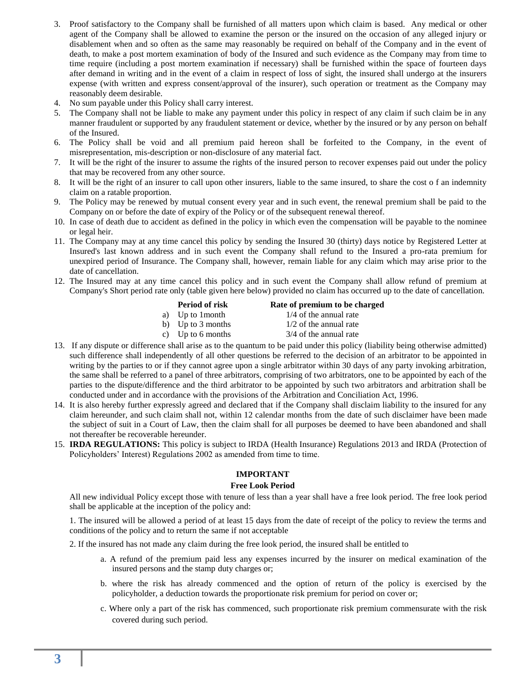- 3. Proof satisfactory to the Company shall be furnished of all matters upon which claim is based. Any medical or other agent of the Company shall be allowed to examine the person or the insured on the occasion of any alleged injury or disablement when and so often as the same may reasonably be required on behalf of the Company and in the event of death, to make a post mortem examination of body of the Insured and such evidence as the Company may from time to time require (including a post mortem examination if necessary) shall be furnished within the space of fourteen days after demand in writing and in the event of a claim in respect of loss of sight, the insured shall undergo at the insurers expense (with written and express consent/approval of the insurer), such operation or treatment as the Company may reasonably deem desirable.
- 4. No sum payable under this Policy shall carry interest.
- 5. The Company shall not be liable to make any payment under this policy in respect of any claim if such claim be in any manner fraudulent or supported by any fraudulent statement or device, whether by the insured or by any person on behalf of the Insured.
- 6. The Policy shall be void and all premium paid hereon shall be forfeited to the Company, in the event of misrepresentation, mis-description or non-disclosure of any material fact.
- 7. It will be the right of the insurer to assume the rights of the insured person to recover expenses paid out under the policy that may be recovered from any other source.
- 8. It will be the right of an insurer to call upon other insurers, liable to the same insured, to share the cost o f an indemnity claim on a ratable proportion.
- 9. The Policy may be renewed by mutual consent every year and in such event, the renewal premium shall be paid to the Company on or before the date of expiry of the Policy or of the subsequent renewal thereof.
- 10. In case of death due to accident as defined in the policy in which even the compensation will be payable to the nominee or legal heir.
- 11. The Company may at any time cancel this policy by sending the Insured 30 (thirty) days notice by Registered Letter at Insured's last known address and in such event the Company shall refund to the Insured a pro-rata premium for unexpired period of Insurance. The Company shall, however, remain liable for any claim which may arise prior to the date of cancellation.
- 12. The Insured may at any time cancel this policy and in such event the Company shall allow refund of premium at Company's Short period rate only (table given here below) provided no claim has occurred up to the date of cancellation.

| <b>Period of risk</b> | Rate of premium to be charged |
|-----------------------|-------------------------------|
| a) Up to 1 month      | $1/4$ of the annual rate      |

b) Up to 3 months  $1/2$  of the annual rate

- c) Up to 6 months  $3/4$  of the annual rate
- 13. If any dispute or difference shall arise as to the quantum to be paid under this policy (liability being otherwise admitted) such difference shall independently of all other questions be referred to the decision of an arbitrator to be appointed in writing by the parties to or if they cannot agree upon a single arbitrator within 30 days of any party invoking arbitration, the same shall be referred to a panel of three arbitrators, comprising of two arbitrators, one to be appointed by each of the parties to the dispute/difference and the third arbitrator to be appointed by such two arbitrators and arbitration shall be conducted under and in accordance with the provisions of the Arbitration and Conciliation Act, 1996.
- 14. It is also hereby further expressly agreed and declared that if the Company shall disclaim liability to the insured for any claim hereunder, and such claim shall not, within 12 calendar months from the date of such disclaimer have been made the subject of suit in a Court of Law, then the claim shall for all purposes be deemed to have been abandoned and shall not thereafter be recoverable hereunder.
- 15. **IRDA REGULATIONS:** This policy is subject to IRDA (Health Insurance) Regulations 2013 and IRDA (Protection of Policyholders' Interest) Regulations 2002 as amended from time to time.

## **IMPORTANT**

## **Free Look Period**

All new individual Policy except those with tenure of less than a year shall have a free look period. The free look period shall be applicable at the inception of the policy and:

1. The insured will be allowed a period of at least 15 days from the date of receipt of the policy to review the terms and conditions of the policy and to return the same if not acceptable

2. If the insured has not made any claim during the free look period, the insured shall be entitled to

- a. A refund of the premium paid less any expenses incurred by the insurer on medical examination of the insured persons and the stamp duty charges or;
- b. where the risk has already commenced and the option of return of the policy is exercised by the policyholder, a deduction towards the proportionate risk premium for period on cover or;
- c. Where only a part of the risk has commenced, such proportionate risk premium commensurate with the risk covered during such period.